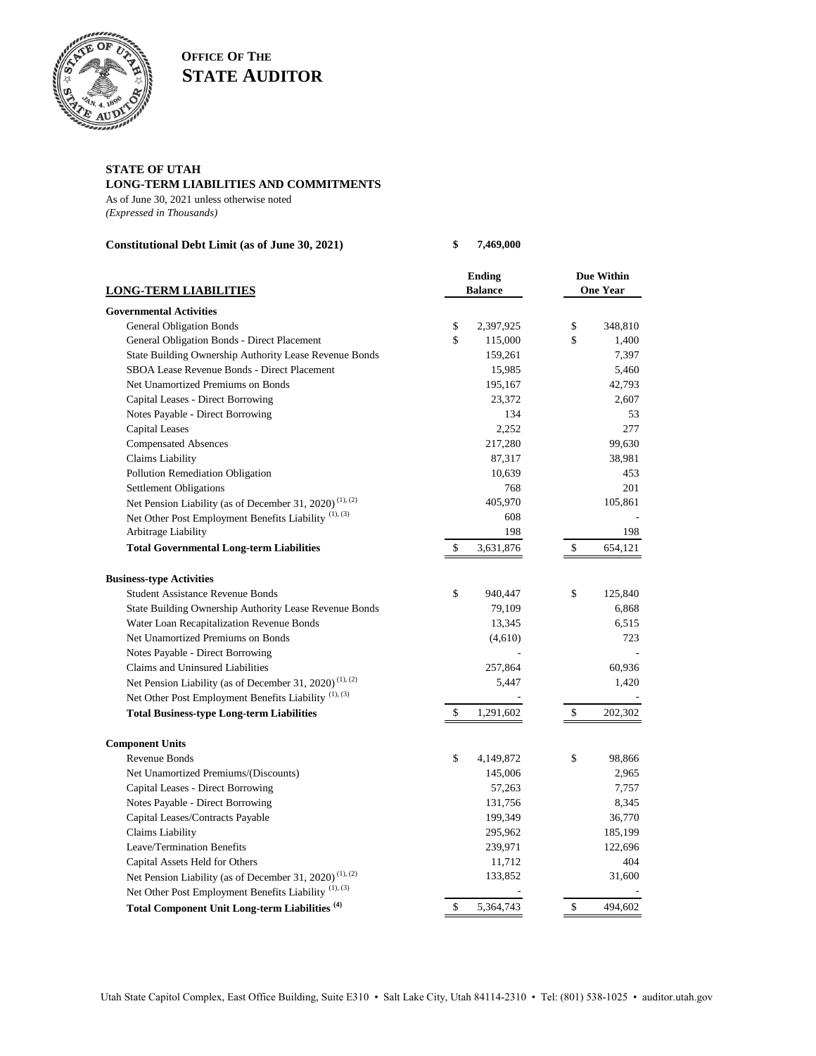

**OFFICE OF THE STATE AUDITOR**

## **STATE OF UTAH**

## **LONG-TERM LIABILITIES AND COMMITMENTS**

As of June 30, 2021 unless otherwise noted *(Expressed in Thousands)*

| Constitutional Debt Limit (as of June 30, 2021)                                                                                        | \$<br>7,469,000                 |                                      |
|----------------------------------------------------------------------------------------------------------------------------------------|---------------------------------|--------------------------------------|
| <b>LONG-TERM LIABILITIES</b>                                                                                                           | <b>Ending</b><br><b>Balance</b> | <b>Due Within</b><br><b>One Year</b> |
| <b>Governmental Activities</b>                                                                                                         |                                 |                                      |
| <b>General Obligation Bonds</b>                                                                                                        | 2,397,925<br>\$                 | 348,810<br>\$                        |
| General Obligation Bonds - Direct Placement                                                                                            | \$<br>115,000                   | \$<br>1,400                          |
| State Building Ownership Authority Lease Revenue Bonds                                                                                 | 159,261                         | 7,397                                |
| SBOA Lease Revenue Bonds - Direct Placement                                                                                            | 15,985                          | 5,460                                |
| Net Unamortized Premiums on Bonds                                                                                                      | 195,167                         | 42,793                               |
| Capital Leases - Direct Borrowing                                                                                                      | 23,372                          | 2,607                                |
| Notes Payable - Direct Borrowing                                                                                                       | 134                             | 53                                   |
| Capital Leases                                                                                                                         | 2,252                           | 277                                  |
| <b>Compensated Absences</b>                                                                                                            | 217,280                         | 99,630                               |
| Claims Liability                                                                                                                       | 87,317                          | 38,981                               |
| Pollution Remediation Obligation                                                                                                       | 10,639                          | 453                                  |
| <b>Settlement Obligations</b>                                                                                                          | 768                             | 201                                  |
| Net Pension Liability (as of December 31, 2020) <sup>(1), (2)</sup>                                                                    | 405,970                         | 105,861                              |
| Net Other Post Employment Benefits Liability <sup>(1),(3)</sup>                                                                        | 608                             |                                      |
| Arbitrage Liability                                                                                                                    | 198                             | 198                                  |
| <b>Total Governmental Long-term Liabilities</b>                                                                                        | \$<br>3,631,876                 | $\$$<br>654,121                      |
| <b>Business-type Activities</b>                                                                                                        |                                 |                                      |
| <b>Student Assistance Revenue Bonds</b>                                                                                                | \$<br>940,447                   | \$<br>125,840                        |
| State Building Ownership Authority Lease Revenue Bonds                                                                                 | 79,109                          | 6,868                                |
| Water Loan Recapitalization Revenue Bonds                                                                                              | 13,345                          | 6,515                                |
| Net Unamortized Premiums on Bonds                                                                                                      | (4,610)                         | 723                                  |
| Notes Payable - Direct Borrowing                                                                                                       |                                 |                                      |
| Claims and Uninsured Liabilities                                                                                                       | 257,864                         | 60,936                               |
|                                                                                                                                        | 5,447                           | 1,420                                |
| Net Pension Liability (as of December 31, 2020) <sup>(1), (2)</sup><br>Net Other Post Employment Benefits Liability <sup>(1),(3)</sup> |                                 |                                      |
|                                                                                                                                        |                                 |                                      |
| <b>Total Business-type Long-term Liabilities</b>                                                                                       | \$<br>1,291,602                 | 202,302<br>\$                        |
| <b>Component Units</b>                                                                                                                 |                                 |                                      |
| Revenue Bonds                                                                                                                          | \$<br>4,149,872                 | \$<br>98,866                         |
| Net Unamortized Premiums/(Discounts)                                                                                                   | 145,006                         | 2,965                                |
| Capital Leases - Direct Borrowing                                                                                                      | 57,263                          | 7,757                                |
| Notes Payable - Direct Borrowing                                                                                                       | 131,756                         | 8,345                                |
| Capital Leases/Contracts Payable                                                                                                       | 199,349                         | 36,770                               |
| Claims Liability                                                                                                                       | 295,962                         | 185,199                              |
| Leave/Termination Benefits                                                                                                             | 239,971                         | 122,696                              |
| Capital Assets Held for Others                                                                                                         | 11,712                          | 404                                  |
| Net Pension Liability (as of December 31, 2020) <sup>(1), (2)</sup>                                                                    | 133,852                         | 31,600                               |
| Net Other Post Employment Benefits Liability <sup>(1),(3)</sup>                                                                        |                                 |                                      |
| Total Component Unit Long-term Liabilities <sup>(4)</sup>                                                                              | \$<br>5,364,743                 | $\$$<br>494,602                      |